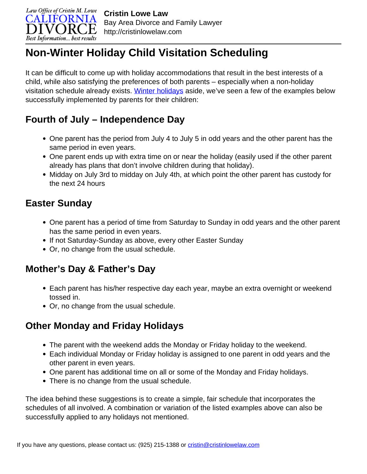

# **Non-Winter Holiday Child Visitation Scheduling**

It can be difficult to come up with holiday accommodations that result in the best interests of a child, while also satisfying the preferences of both parents – especially when a non-holiday visitation schedule already exists. [Winter holidays](http://cristinlowelaw.com/holidays-and-the-divorce-process/) aside, we've seen a few of the examples below successfully implemented by parents for their children:

## **Fourth of July – Independence Day**

- One parent has the period from July 4 to July 5 in odd years and the other parent has the same period in even years.
- One parent ends up with extra time on or near the holiday (easily used if the other parent already has plans that don't involve children during that holiday).
- Midday on July 3rd to midday on July 4th, at which point the other parent has custody for the next 24 hours

## **Easter Sunday**

- One parent has a period of time from Saturday to Sunday in odd years and the other parent has the same period in even years.
- If not Saturday-Sunday as above, every other Easter Sunday
- Or, no change from the usual schedule.

### **Mother's Day & Father's Day**

- Each parent has his/her respective day each year, maybe an extra overnight or weekend tossed in.
- Or, no change from the usual schedule.

## **Other Monday and Friday Holidays**

- The parent with the weekend adds the Monday or Friday holiday to the weekend.
- Each individual Monday or Friday holiday is assigned to one parent in odd years and the other parent in even years.
- One parent has additional time on all or some of the Monday and Friday holidays.
- There is no change from the usual schedule.

The idea behind these suggestions is to create a simple, fair schedule that incorporates the schedules of all involved. A combination or variation of the listed examples above can also be successfully applied to any holidays not mentioned.